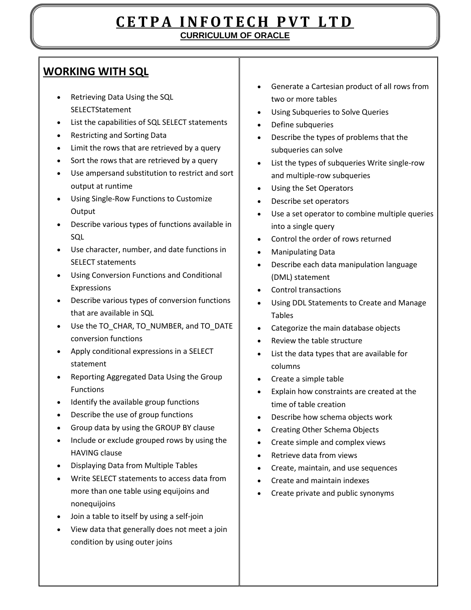## **C E T P A I N F O T E C H P V T L T D CURRICULUM OF ORACLE**

## **WORKING WITH SQL**

- Retrieving Data Using the SQL SELECTStatement
- List the capabilities of SQL SELECT statements
- Restricting and Sorting Data
- Limit the rows that are retrieved by a query
- Sort the rows that are retrieved by a query
- Use ampersand substitution to restrict and sort output at runtime
- Using Single-Row Functions to Customize **Output**
- Describe various types of functions available in SQL
- Use character, number, and date functions in SELECT statements
- Using Conversion Functions and Conditional Expressions
- Describe various types of conversion functions that are available in SQL
- Use the TO\_CHAR, TO\_NUMBER, and TO\_DATE conversion functions
- Apply conditional expressions in a SELECT statement
- Reporting Aggregated Data Using the Group Functions
- Identify the available group functions
- Describe the use of group functions
- Group data by using the GROUP BY clause
- Include or exclude grouped rows by using the HAVING clause
- Displaying Data from Multiple Tables
- Write SELECT statements to access data from more than one table using equijoins and nonequijoins
- Join a table to itself by using a self-join
- View data that generally does not meet a join condition by using outer joins
- Generate a Cartesian product of all rows from two or more tables
- Using Subqueries to Solve Queries
- Define subqueries
- Describe the types of problems that the subqueries can solve
- List the types of subqueries Write single-row and multiple-row subqueries
- Using the Set Operators
- Describe set operators
- Use a set operator to combine multiple queries into a single query
- Control the order of rows returned
- Manipulating Data
- Describe each data manipulation language (DML) statement
- Control transactions
- Using DDL Statements to Create and Manage Tables
- Categorize the main database objects
- Review the table structure
- List the data types that are available for columns
- Create a simple table
- Explain how constraints are created at the time of table creation
- Describe how schema objects work
- Creating Other Schema Objects
- Create simple and complex views
- Retrieve data from views
- Create, maintain, and use sequences
- Create and maintain indexes
- Create private and public synonyms